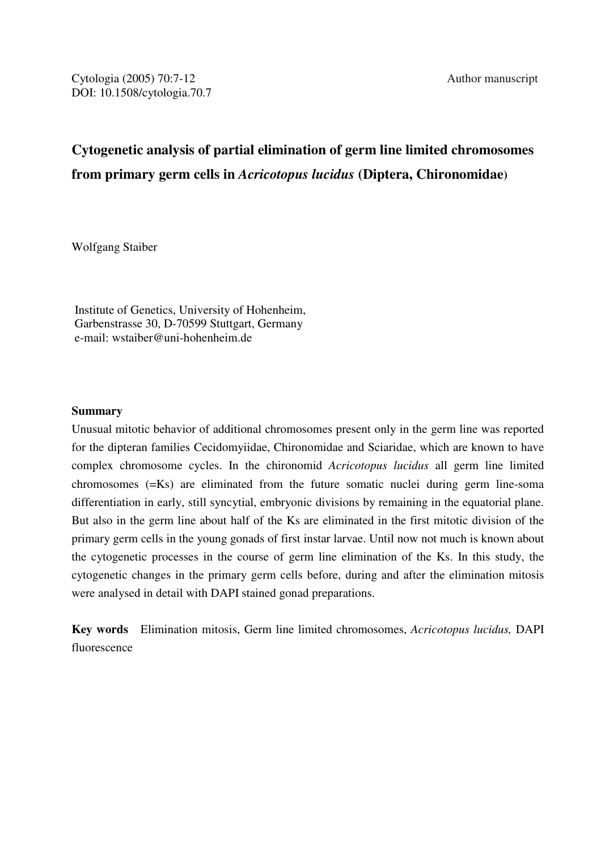# **Cytogenetic analysis of partial elimination of germ line limited chromosomes from primary germ cells in** *Acricotopus lucidus* **(Diptera, Chironomidae)**

Wolfgang Staiber

 Institute of Genetics, University of Hohenheim, Garbenstrasse 30, D-70599 Stuttgart, Germany e-mail: wstaiber@uni-hohenheim.de

## **Summary**

Unusual mitotic behavior of additional chromosomes present only in the germ line was reported for the dipteran families Cecidomyiidae, Chironomidae and Sciaridae, which are known to have complex chromosome cycles. In the chironomid *Acricotopus lucidus* all germ line limited chromosomes (=Ks) are eliminated from the future somatic nuclei during germ line-soma differentiation in early, still syncytial, embryonic divisions by remaining in the equatorial plane. But also in the germ line about half of the Ks are eliminated in the first mitotic division of the primary germ cells in the young gonads of first instar larvae. Until now not much is known about the cytogenetic processes in the course of germ line elimination of the Ks. In this study, the cytogenetic changes in the primary germ cells before, during and after the elimination mitosis were analysed in detail with DAPI stained gonad preparations.

**Key words** Elimination mitosis, Germ line limited chromosomes, *Acricotopus lucidus,* DAPI fluorescence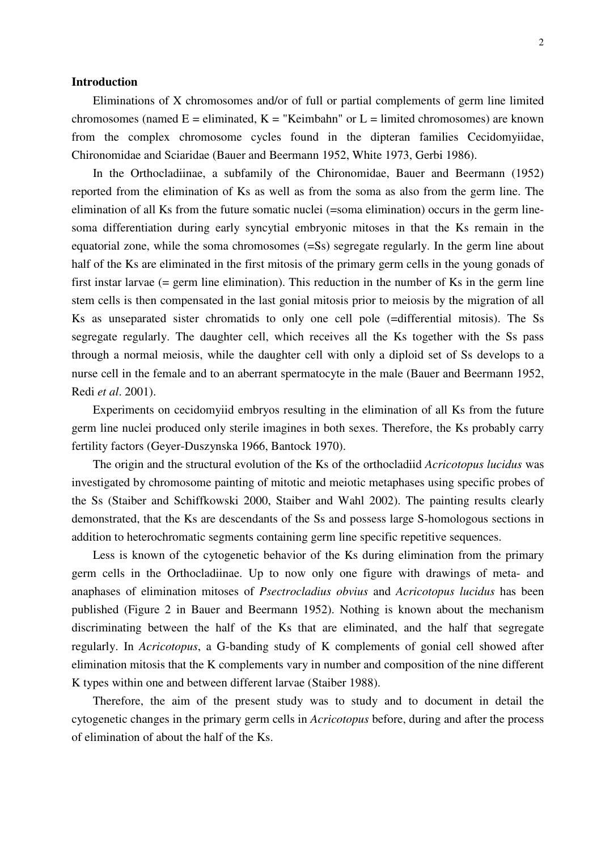### **Introduction**

 Eliminations of X chromosomes and/or of full or partial complements of germ line limited chromosomes (named  $E =$  eliminated,  $K =$  "Keimbahn" or  $L =$  limited chromosomes) are known from the complex chromosome cycles found in the dipteran families Cecidomyiidae, Chironomidae and Sciaridae (Bauer and Beermann 1952, White 1973, Gerbi 1986).

 In the Orthocladiinae, a subfamily of the Chironomidae, Bauer and Beermann (1952) reported from the elimination of Ks as well as from the soma as also from the germ line. The elimination of all Ks from the future somatic nuclei (=soma elimination) occurs in the germ linesoma differentiation during early syncytial embryonic mitoses in that the Ks remain in the equatorial zone, while the soma chromosomes (=Ss) segregate regularly. In the germ line about half of the Ks are eliminated in the first mitosis of the primary germ cells in the young gonads of first instar larvae (= germ line elimination). This reduction in the number of Ks in the germ line stem cells is then compensated in the last gonial mitosis prior to meiosis by the migration of all Ks as unseparated sister chromatids to only one cell pole (=differential mitosis). The Ss segregate regularly. The daughter cell, which receives all the Ks together with the Ss pass through a normal meiosis, while the daughter cell with only a diploid set of Ss develops to a nurse cell in the female and to an aberrant spermatocyte in the male (Bauer and Beermann 1952, Redi *et al*. 2001).

 Experiments on cecidomyiid embryos resulting in the elimination of all Ks from the future germ line nuclei produced only sterile imagines in both sexes. Therefore, the Ks probably carry fertility factors (Geyer-Duszynska 1966, Bantock 1970).

 The origin and the structural evolution of the Ks of the orthocladiid *Acricotopus lucidus* was investigated by chromosome painting of mitotic and meiotic metaphases using specific probes of the Ss (Staiber and Schiffkowski 2000, Staiber and Wahl 2002). The painting results clearly demonstrated, that the Ks are descendants of the Ss and possess large S-homologous sections in addition to heterochromatic segments containing germ line specific repetitive sequences.

 Less is known of the cytogenetic behavior of the Ks during elimination from the primary germ cells in the Orthocladiinae. Up to now only one figure with drawings of meta- and anaphases of elimination mitoses of *Psectrocladius obvius* and *Acricotopus lucidus* has been published (Figure 2 in Bauer and Beermann 1952). Nothing is known about the mechanism discriminating between the half of the Ks that are eliminated, and the half that segregate regularly. In *Acricotopus*, a G-banding study of K complements of gonial cell showed after elimination mitosis that the K complements vary in number and composition of the nine different K types within one and between different larvae (Staiber 1988).

 Therefore, the aim of the present study was to study and to document in detail the cytogenetic changes in the primary germ cells in *Acricotopus* before, during and after the process of elimination of about the half of the Ks.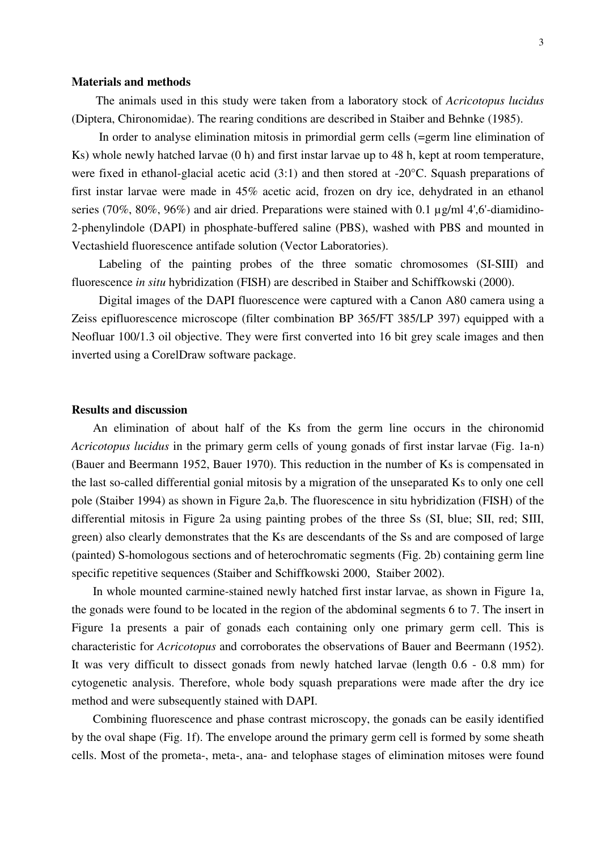#### **Materials and methods**

 The animals used in this study were taken from a laboratory stock of *Acricotopus lucidus* (Diptera, Chironomidae). The rearing conditions are described in Staiber and Behnke (1985).

 In order to analyse elimination mitosis in primordial germ cells (=germ line elimination of Ks) whole newly hatched larvae (0 h) and first instar larvae up to 48 h, kept at room temperature, were fixed in ethanol-glacial acetic acid (3:1) and then stored at -20°C. Squash preparations of first instar larvae were made in 45% acetic acid, frozen on dry ice, dehydrated in an ethanol series (70%, 80%, 96%) and air dried. Preparations were stained with 0.1 µg/ml 4',6'-diamidino-2-phenylindole (DAPI) in phosphate-buffered saline (PBS), washed with PBS and mounted in Vectashield fluorescence antifade solution (Vector Laboratories).

 Labeling of the painting probes of the three somatic chromosomes (SI-SIII) and fluorescence *in situ* hybridization (FISH) are described in Staiber and Schiffkowski (2000).

 Digital images of the DAPI fluorescence were captured with a Canon A80 camera using a Zeiss epifluorescence microscope (filter combination BP 365/FT 385/LP 397) equipped with a Neofluar 100/1.3 oil objective. They were first converted into 16 bit grey scale images and then inverted using a CorelDraw software package.

### **Results and discussion**

 An elimination of about half of the Ks from the germ line occurs in the chironomid *Acricotopus lucidus* in the primary germ cells of young gonads of first instar larvae (Fig. 1a-n) (Bauer and Beermann 1952, Bauer 1970). This reduction in the number of Ks is compensated in the last so-called differential gonial mitosis by a migration of the unseparated Ks to only one cell pole (Staiber 1994) as shown in Figure 2a,b. The fluorescence in situ hybridization (FISH) of the differential mitosis in Figure 2a using painting probes of the three Ss (SI, blue; SII, red; SIII, green) also clearly demonstrates that the Ks are descendants of the Ss and are composed of large (painted) S-homologous sections and of heterochromatic segments (Fig. 2b) containing germ line specific repetitive sequences (Staiber and Schiffkowski 2000, Staiber 2002).

 In whole mounted carmine-stained newly hatched first instar larvae, as shown in Figure 1a, the gonads were found to be located in the region of the abdominal segments 6 to 7. The insert in Figure 1a presents a pair of gonads each containing only one primary germ cell. This is characteristic for *Acricotopus* and corroborates the observations of Bauer and Beermann (1952). It was very difficult to dissect gonads from newly hatched larvae (length 0.6 - 0.8 mm) for cytogenetic analysis. Therefore, whole body squash preparations were made after the dry ice method and were subsequently stained with DAPI.

 Combining fluorescence and phase contrast microscopy, the gonads can be easily identified by the oval shape (Fig. 1f). The envelope around the primary germ cell is formed by some sheath cells. Most of the prometa-, meta-, ana- and telophase stages of elimination mitoses were found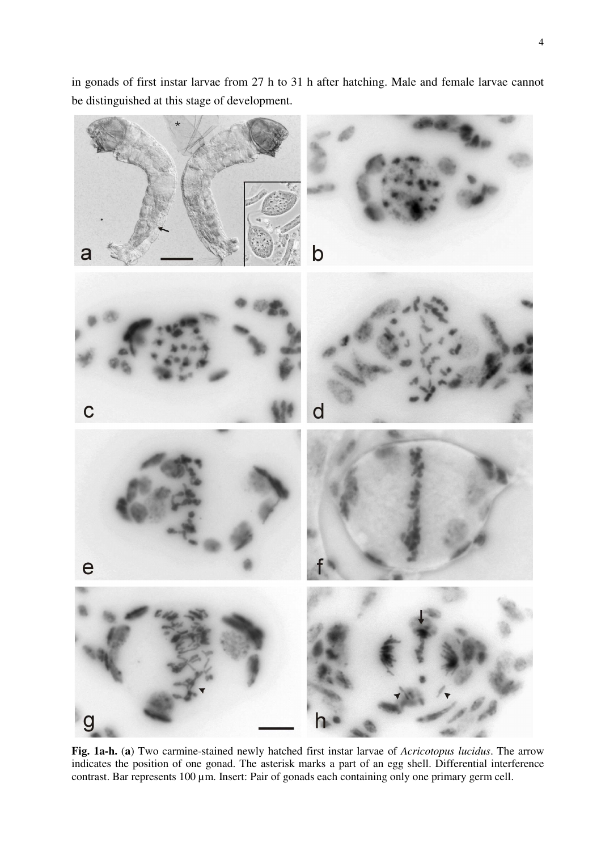in gonads of first instar larvae from 27 h to 31 h after hatching. Male and female larvae cannot be distinguished at this stage of development.



**Fig. 1a-h.** (**a**) Two carmine-stained newly hatched first instar larvae of *Acricotopus lucidus*. The arrow indicates the position of one gonad. The asterisk marks a part of an egg shell. Differential interference contrast. Bar represents 100 µm. Insert: Pair of gonads each containing only one primary germ cell.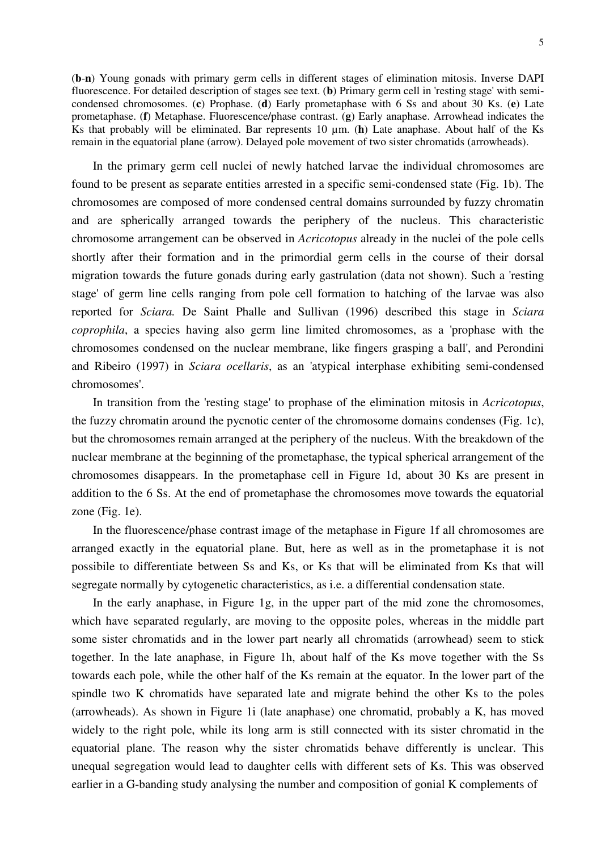(**b**-**n**) Young gonads with primary germ cells in different stages of elimination mitosis. Inverse DAPI fluorescence. For detailed description of stages see text. (**b**) Primary germ cell in 'resting stage' with semicondensed chromosomes. (**c**) Prophase. (**d**) Early prometaphase with 6 Ss and about 30 Ks. (**e**) Late prometaphase. (**f**) Metaphase. Fluorescence/phase contrast. (**g**) Early anaphase. Arrowhead indicates the Ks that probably will be eliminated. Bar represents 10 um. (**h**) Late anaphase. About half of the Ks remain in the equatorial plane (arrow). Delayed pole movement of two sister chromatids (arrowheads).

 In the primary germ cell nuclei of newly hatched larvae the individual chromosomes are found to be present as separate entities arrested in a specific semi-condensed state (Fig. 1b). The chromosomes are composed of more condensed central domains surrounded by fuzzy chromatin and are spherically arranged towards the periphery of the nucleus. This characteristic chromosome arrangement can be observed in *Acricotopus* already in the nuclei of the pole cells shortly after their formation and in the primordial germ cells in the course of their dorsal migration towards the future gonads during early gastrulation (data not shown). Such a 'resting stage' of germ line cells ranging from pole cell formation to hatching of the larvae was also reported for *Sciara.* De Saint Phalle and Sullivan (1996) described this stage in *Sciara coprophila*, a species having also germ line limited chromosomes, as a 'prophase with the chromosomes condensed on the nuclear membrane, like fingers grasping a ball', and Perondini and Ribeiro (1997) in *Sciara ocellaris*, as an 'atypical interphase exhibiting semi-condensed chromosomes'.

 In transition from the 'resting stage' to prophase of the elimination mitosis in *Acricotopus*, the fuzzy chromatin around the pycnotic center of the chromosome domains condenses (Fig. 1c), but the chromosomes remain arranged at the periphery of the nucleus. With the breakdown of the nuclear membrane at the beginning of the prometaphase, the typical spherical arrangement of the chromosomes disappears. In the prometaphase cell in Figure 1d, about 30 Ks are present in addition to the 6 Ss. At the end of prometaphase the chromosomes move towards the equatorial zone (Fig. 1e).

 In the fluorescence/phase contrast image of the metaphase in Figure 1f all chromosomes are arranged exactly in the equatorial plane. But, here as well as in the prometaphase it is not possibile to differentiate between Ss and Ks, or Ks that will be eliminated from Ks that will segregate normally by cytogenetic characteristics, as i.e. a differential condensation state.

 In the early anaphase, in Figure 1g, in the upper part of the mid zone the chromosomes, which have separated regularly, are moving to the opposite poles, whereas in the middle part some sister chromatids and in the lower part nearly all chromatids (arrowhead) seem to stick together. In the late anaphase, in Figure 1h, about half of the Ks move together with the Ss towards each pole, while the other half of the Ks remain at the equator. In the lower part of the spindle two K chromatids have separated late and migrate behind the other Ks to the poles (arrowheads). As shown in Figure 1i (late anaphase) one chromatid, probably a K, has moved widely to the right pole, while its long arm is still connected with its sister chromatid in the equatorial plane. The reason why the sister chromatids behave differently is unclear. This unequal segregation would lead to daughter cells with different sets of Ks. This was observed earlier in a G-banding study analysing the number and composition of gonial K complements of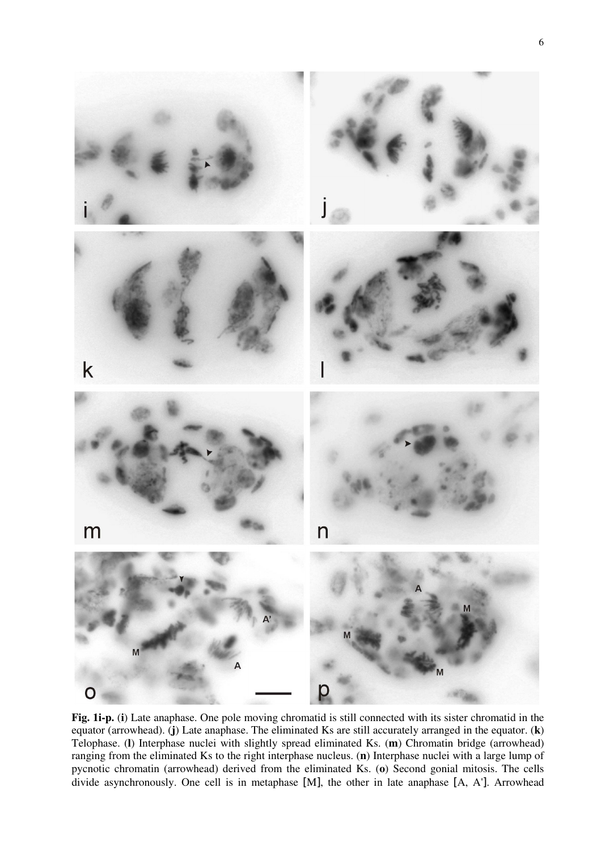

**Fig. 1i-p.** (**i**) Late anaphase. One pole moving chromatid is still connected with its sister chromatid in the equator (arrowhead). (**j**) Late anaphase. The eliminated Ks are still accurately arranged in the equator. (**k**) Telophase. (**l**) Interphase nuclei with slightly spread eliminated Ks. (**m**) Chromatin bridge (arrowhead) ranging from the eliminated Ks to the right interphase nucleus. (**n**) Interphase nuclei with a large lump of pycnotic chromatin (arrowhead) derived from the eliminated Ks. (**o**) Second gonial mitosis. The cells divide asynchronously. One cell is in metaphase [M], the other in late anaphase [A, A']. Arrowhead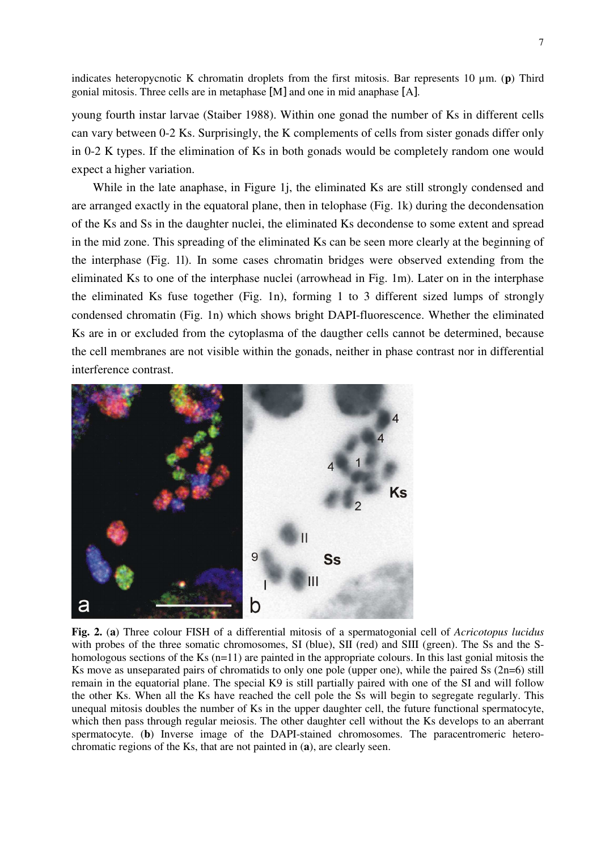indicates heteropycnotic K chromatin droplets from the first mitosis. Bar represents 10 µm. (**p**) Third gonial mitosis. Three cells are in metaphase [M] and one in mid anaphase [A].

young fourth instar larvae (Staiber 1988). Within one gonad the number of Ks in different cells can vary between 0-2 Ks. Surprisingly, the K complements of cells from sister gonads differ only in 0-2 K types. If the elimination of Ks in both gonads would be completely random one would expect a higher variation.

While in the late anaphase, in Figure 1*j*, the eliminated Ks are still strongly condensed and are arranged exactly in the equatoral plane, then in telophase (Fig. 1k) during the decondensation of the Ks and Ss in the daughter nuclei, the eliminated Ks decondense to some extent and spread in the mid zone. This spreading of the eliminated Ks can be seen more clearly at the beginning of the interphase (Fig. 1l). In some cases chromatin bridges were observed extending from the eliminated Ks to one of the interphase nuclei (arrowhead in Fig. 1m). Later on in the interphase the eliminated Ks fuse together (Fig. 1n), forming 1 to 3 different sized lumps of strongly condensed chromatin (Fig. 1n) which shows bright DAPI-fluorescence. Whether the eliminated Ks are in or excluded from the cytoplasma of the daugther cells cannot be determined, because the cell membranes are not visible within the gonads, neither in phase contrast nor in differential interference contrast.



**Fig. 2.** (**a**) Three colour FISH of a differential mitosis of a spermatogonial cell of *Acricotopus lucidus* with probes of the three somatic chromosomes, SI (blue), SII (red) and SIII (green). The Ss and the Shomologous sections of the Ks (n=11) are painted in the appropriate colours. In this last gonial mitosis the Ks move as unseparated pairs of chromatids to only one pole (upper one), while the paired Ss (2n=6) still remain in the equatorial plane. The special K9 is still partially paired with one of the SI and will follow the other Ks. When all the Ks have reached the cell pole the Ss will begin to segregate regularly. This unequal mitosis doubles the number of Ks in the upper daughter cell, the future functional spermatocyte, which then pass through regular meiosis. The other daughter cell without the Ks develops to an aberrant spermatocyte. (**b**) Inverse image of the DAPI-stained chromosomes. The paracentromeric heterochromatic regions of the Ks, that are not painted in (**a**), are clearly seen.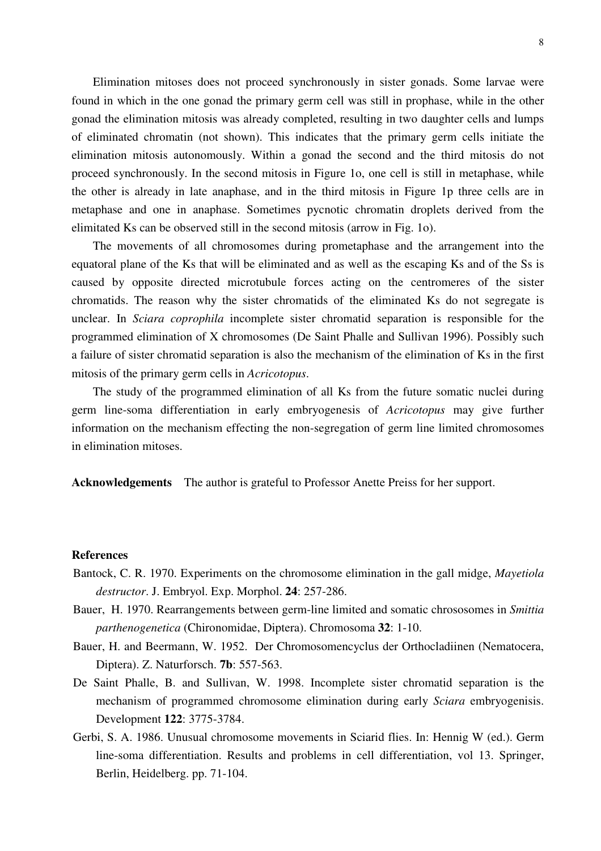Elimination mitoses does not proceed synchronously in sister gonads. Some larvae were found in which in the one gonad the primary germ cell was still in prophase, while in the other gonad the elimination mitosis was already completed, resulting in two daughter cells and lumps of eliminated chromatin (not shown). This indicates that the primary germ cells initiate the elimination mitosis autonomously. Within a gonad the second and the third mitosis do not proceed synchronously. In the second mitosis in Figure 1o, one cell is still in metaphase, while the other is already in late anaphase, and in the third mitosis in Figure 1p three cells are in metaphase and one in anaphase. Sometimes pycnotic chromatin droplets derived from the elimitated Ks can be observed still in the second mitosis (arrow in Fig. 1o).

 The movements of all chromosomes during prometaphase and the arrangement into the equatoral plane of the Ks that will be eliminated and as well as the escaping Ks and of the Ss is caused by opposite directed microtubule forces acting on the centromeres of the sister chromatids. The reason why the sister chromatids of the eliminated Ks do not segregate is unclear. In *Sciara coprophila* incomplete sister chromatid separation is responsible for the programmed elimination of X chromosomes (De Saint Phalle and Sullivan 1996). Possibly such a failure of sister chromatid separation is also the mechanism of the elimination of Ks in the first mitosis of the primary germ cells in *Acricotopus*.

 The study of the programmed elimination of all Ks from the future somatic nuclei during germ line-soma differentiation in early embryogenesis of *Acricotopus* may give further information on the mechanism effecting the non-segregation of germ line limited chromosomes in elimination mitoses.

**Acknowledgements** The author is grateful to Professor Anette Preiss for her support.

#### **References**

- Bantock, C. R. 1970. Experiments on the chromosome elimination in the gall midge, *Mayetiola destructor*. J. Embryol. Exp. Morphol. **24**: 257-286.
- Bauer, H. 1970. Rearrangements between germ-line limited and somatic chrososomes in *Smittia parthenogenetica* (Chironomidae, Diptera). Chromosoma **32**: 1-10.
- Bauer, H. and Beermann, W. 1952. Der Chromosomencyclus der Orthocladiinen (Nematocera, Diptera). Z. Naturforsch. **7b**: 557-563.
- De Saint Phalle, B. and Sullivan, W. 1998. Incomplete sister chromatid separation is the mechanism of programmed chromosome elimination during early *Sciara* embryogenisis. Development **122**: 3775-3784.
- Gerbi, S. A. 1986. Unusual chromosome movements in Sciarid flies. In: Hennig W (ed.). Germ line-soma differentiation. Results and problems in cell differentiation, vol 13. Springer, Berlin, Heidelberg. pp. 71-104.